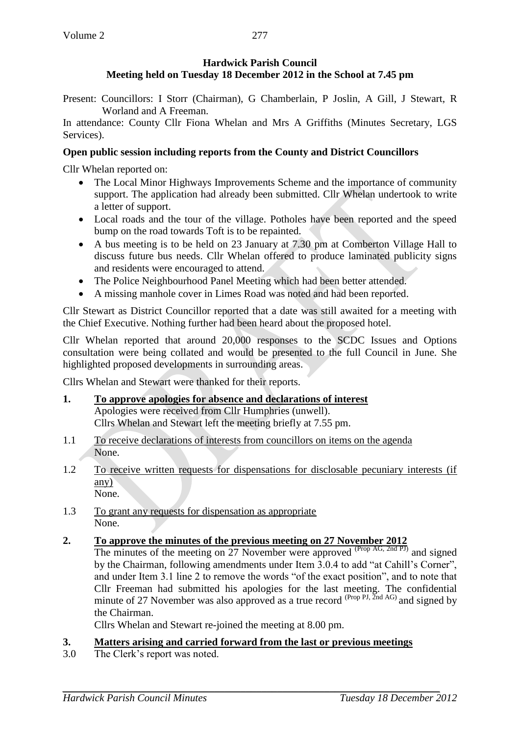# **Hardwick Parish Council Meeting held on Tuesday 18 December 2012 in the School at 7.45 pm**

Present: Councillors: I Storr (Chairman), G Chamberlain, P Joslin, A Gill, J Stewart, R Worland and A Freeman.

In attendance: County Cllr Fiona Whelan and Mrs A Griffiths (Minutes Secretary, LGS Services).

# **Open public session including reports from the County and District Councillors**

Cllr Whelan reported on:

- The Local Minor Highways Improvements Scheme and the importance of community support. The application had already been submitted. Cllr Whelan undertook to write a letter of support.
- Local roads and the tour of the village. Potholes have been reported and the speed bump on the road towards Toft is to be repainted.
- A bus meeting is to be held on 23 January at 7.30 pm at Comberton Village Hall to discuss future bus needs. Cllr Whelan offered to produce laminated publicity signs and residents were encouraged to attend.
- The Police Neighbourhood Panel Meeting which had been better attended.
- A missing manhole cover in Limes Road was noted and had been reported.

Cllr Stewart as District Councillor reported that a date was still awaited for a meeting with the Chief Executive. Nothing further had been heard about the proposed hotel.

Cllr Whelan reported that around 20,000 responses to the SCDC Issues and Options consultation were being collated and would be presented to the full Council in June. She highlighted proposed developments in surrounding areas.

Cllrs Whelan and Stewart were thanked for their reports.

- **1. To approve apologies for absence and declarations of interest** Apologies were received from Cllr Humphries (unwell). Cllrs Whelan and Stewart left the meeting briefly at 7.55 pm.
- 1.1 To receive declarations of interests from councillors on items on the agenda None.
- 1.2 To receive written requests for dispensations for disclosable pecuniary interests (if any) None.
- 1.3 To grant any requests for dispensation as appropriate None.
- **2. To approve the minutes of the previous meeting on 27 November 2012**

The minutes of the meeting on 27 November were approved  $(\text{Prop AG}, \text{2nd PI})$  and signed by the Chairman, following amendments under Item 3.0.4 to add "at Cahill's Corner", and under Item 3.1 line 2 to remove the words "of the exact position", and to note that Cllr Freeman had submitted his apologies for the last meeting. The confidential minute of 27 November was also approved as a true record  $^{(Prop\,PI, \Sigma nd\,AG)}$  and signed by the Chairman.

Cllrs Whelan and Stewart re-joined the meeting at 8.00 pm.

# **3. Matters arising and carried forward from the last or previous meetings**

3.0 The Clerk's report was noted.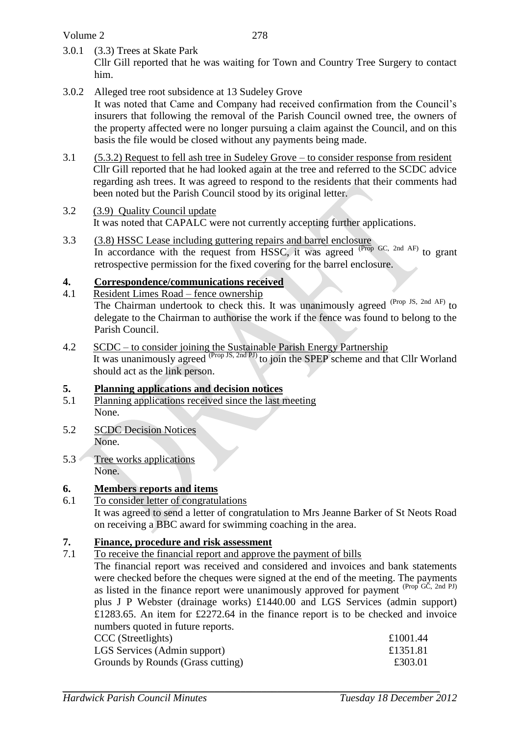Volume 2

3.0.1 (3.3) Trees at Skate Park

Cllr Gill reported that he was waiting for Town and Country Tree Surgery to contact him.

- 3.0.2 Alleged tree root subsidence at 13 Sudeley Grove It was noted that Came and Company had received confirmation from the Council's insurers that following the removal of the Parish Council owned tree, the owners of the property affected were no longer pursuing a claim against the Council, and on this basis the file would be closed without any payments being made.
- 3.1 (5.3.2) Request to fell ash tree in Sudeley Grove to consider response from resident Cllr Gill reported that he had looked again at the tree and referred to the SCDC advice regarding ash trees. It was agreed to respond to the residents that their comments had been noted but the Parish Council stood by its original letter.
- 3.2 (3.9) Quality Council update It was noted that CAPALC were not currently accepting further applications.
- 3.3 (3.8) HSSC Lease including guttering repairs and barrel enclosure In accordance with the request from HSSC, it was agreed <sup>(Prop GC, 2nd AF)</sup> to grant retrospective permission for the fixed covering for the barrel enclosure.

## **4. Correspondence/communications received**

- 4.1 Resident Limes Road fence ownership The Chairman undertook to check this. It was unanimously agreed (Prop JS, 2nd AF) to delegate to the Chairman to authorise the work if the fence was found to belong to the Parish Council.
- 4.2 SCDC to consider joining the Sustainable Parish Energy Partnership It was unanimously agreed <sup>(Prop JS, 2nd PJ)</sup> to join the SPEP scheme and that Cllr Worland should act as the link person.

## **5. Planning applications and decision notices**

- 5.1 Planning applications received since the last meeting None.
- 5.2 SCDC Decision Notices None.
- 5.3 Tree works applications None.

## **6. Members reports and items**

## 6.1 To consider letter of congratulations

It was agreed to send a letter of congratulation to Mrs Jeanne Barker of St Neots Road on receiving a BBC award for swimming coaching in the area.

#### **7. Finance, procedure and risk assessment**

7.1 To receive the financial report and approve the payment of bills

The financial report was received and considered and invoices and bank statements were checked before the cheques were signed at the end of the meeting. The payments as listed in the finance report were unanimously approved for payment  $(Prop<sup>T</sup>GC, 2nd PI)$ plus J P Webster (drainage works) £1440.00 and LGS Services (admin support) £1283.65. An item for £2272.64 in the finance report is to be checked and invoice numbers quoted in future reports.

| CCC (Streetlights)                | £1001.44 |
|-----------------------------------|----------|
| LGS Services (Admin support)      | £1351.81 |
| Grounds by Rounds (Grass cutting) | £303.01  |